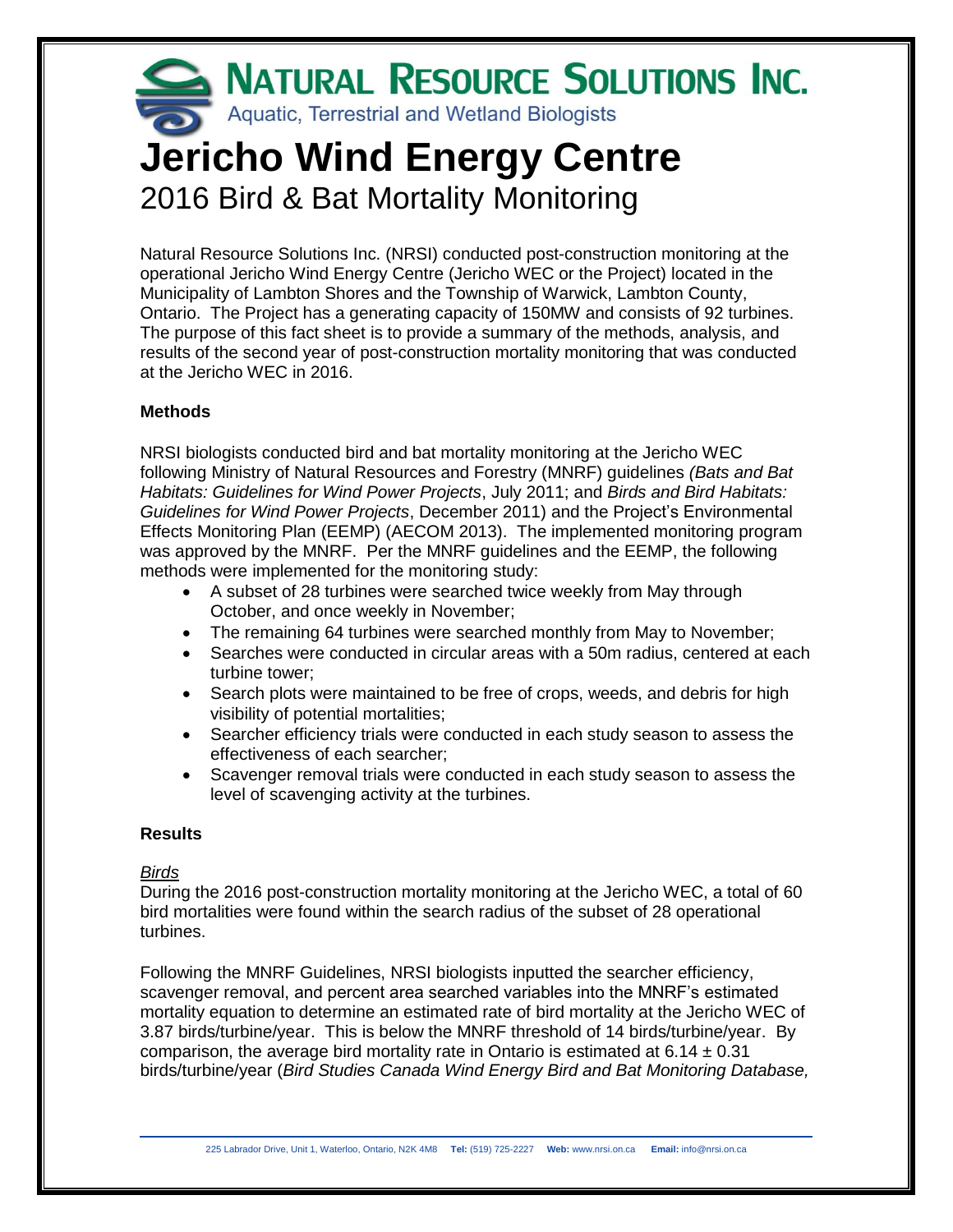# NATURAL RESOURCE SOLUTIONS INC. Aquatic, Terrestrial and Wetland Biologists **Jericho Wind Energy Centre** 2016 Bird & Bat Mortality Monitoring

Natural Resource Solutions Inc. (NRSI) conducted post-construction monitoring at the operational Jericho Wind Energy Centre (Jericho WEC or the Project) located in the Municipality of Lambton Shores and the Township of Warwick, Lambton County, Ontario. The Project has a generating capacity of 150MW and consists of 92 turbines. The purpose of this fact sheet is to provide a summary of the methods, analysis, and results of the second year of post-construction mortality monitoring that was conducted at the Jericho WEC in 2016.

## **Methods**

NRSI biologists conducted bird and bat mortality monitoring at the Jericho WEC following Ministry of Natural Resources and Forestry (MNRF) guidelines *(Bats and Bat Habitats: Guidelines for Wind Power Projects*, July 2011; and *Birds and Bird Habitats: Guidelines for Wind Power Projects*, December 2011) and the Project's Environmental Effects Monitoring Plan (EEMP) (AECOM 2013). The implemented monitoring program was approved by the MNRF. Per the MNRF guidelines and the EEMP, the following methods were implemented for the monitoring study:

- A subset of 28 turbines were searched twice weekly from May through October, and once weekly in November;
- The remaining 64 turbines were searched monthly from May to November;
- Searches were conducted in circular areas with a 50m radius, centered at each turbine tower;
- Search plots were maintained to be free of crops, weeds, and debris for high visibility of potential mortalities;
- Searcher efficiency trials were conducted in each study season to assess the effectiveness of each searcher;
- Scavenger removal trials were conducted in each study season to assess the level of scavenging activity at the turbines.

## **Results**

## *Birds*

During the 2016 post-construction mortality monitoring at the Jericho WEC, a total of 60 bird mortalities were found within the search radius of the subset of 28 operational turbines.

Following the MNRF Guidelines, NRSI biologists inputted the searcher efficiency, scavenger removal, and percent area searched variables into the MNRF's estimated mortality equation to determine an estimated rate of bird mortality at the Jericho WEC of 3.87 birds/turbine/year. This is below the MNRF threshold of 14 birds/turbine/year. By comparison, the average bird mortality rate in Ontario is estimated at  $6.14 \pm 0.31$ birds/turbine/year (*Bird Studies Canada Wind Energy Bird and Bat Monitoring Database,*